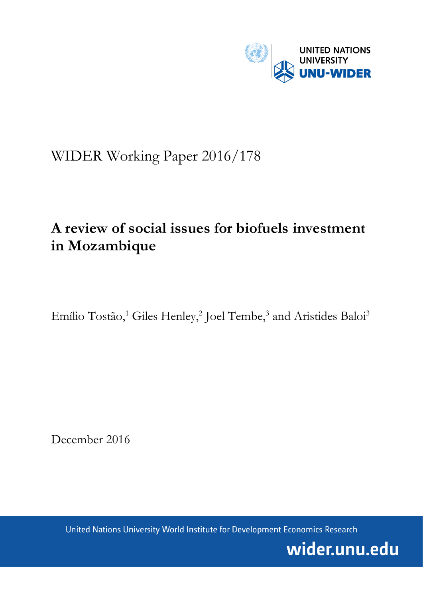

# WIDER Working Paper 2016/178

# **A review of social issues for biofuels investment in Mozambique**

Emílio Tostão,<sup>1</sup> Giles Henley,<sup>2</sup> Joel Tembe,<sup>3</sup> and Aristides Baloi<sup>3</sup>

December 2016

United Nations University World Institute for Development Economics Research

wider.unu.edu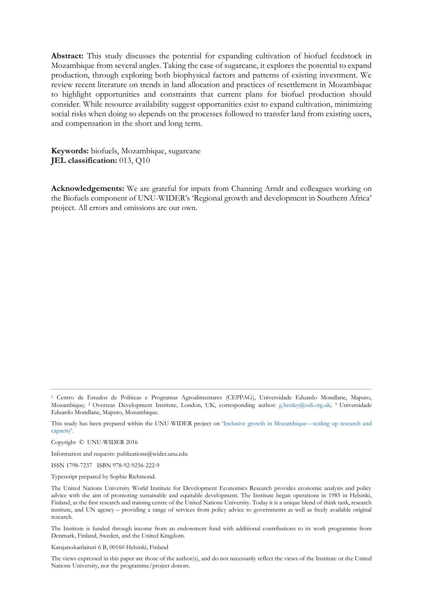**Abstract:** This study discusses the potential for expanding cultivation of biofuel feedstock in Mozambique from several angles. Taking the case of sugarcane, it explores the potential to expand production, through exploring both biophysical factors and patterns of existing investment. We review recent literature on trends in land allocation and practices of resettlement in Mozambique to highlight opportunities and constraints that current plans for biofuel production should consider. While resource availability suggest opportunities exist to expand cultivation, minimizing social risks when doing so depends on the processes followed to transfer land from existing users, and compensation in the short and long term.

**Keywords:** biofuels, Mozambique, sugarcane **JEL classification:** 013, Q10

**Acknowledgements:** We are grateful for inputs from Channing Arndt and colleagues working on the Biofuels component of UNU-WIDER's 'Regional growth and development in Southern Africa' project. All errors and omissions are our own.

Information and requests: publications@wider.unu.edu

ISSN 1798-7237 ISBN 978-92-9256-222-9

Typescript prepared by Sophie Richmond.

The Institute is funded through income from an endowment fund with additional contributions to its work programme from Denmark, Finland, Sweden, and the United Kingdom.

Katajanokanlaituri 6 B, 00160 Helsinki, Finland

<sup>1</sup> Centro de Estudos de Políticas e Programas Agroalimentares (CEPPAG), Universidade Eduardo Mondlane, Maputo, Mozambique; 2 Overseas Development Institute, London, UK, corresponding author: [g.henley@odi.org.uk;](mailto:g.henley@odi.org.uk) 3 Universidade Eduardo Mondlane, Maputo, Mozambique.

This study has been prepared within the UNU-WIDER project on '[Inclusive growth in Mozambique](https://www.wider.unu.edu/node/461)—scaling up research and [capacity](https://www.wider.unu.edu/node/461)'.

Copyright © UNU-WIDER 2016

The United Nations University World Institute for Development Economics Research provides economic analysis and policy advice with the aim of promoting sustainable and equitable development. The Institute began operations in 1985 in Helsinki, Finland, as the first research and training centre of the United Nations University. Today it is a unique blend of think tank, research institute, and UN agency – providing a range of services from policy advice to governments as well as freely available original research.

The views expressed in this paper are those of the author(s), and do not necessarily reflect the views of the Institute or the United Nations University, nor the programme/project donors.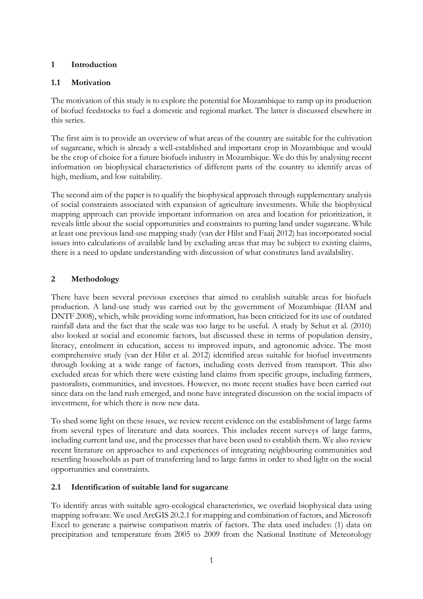# **1 Introduction**

# **1.1 Motivation**

The motivation of this study is to explore the potential for Mozambique to ramp up its production of biofuel feedstocks to fuel a domestic and regional market. The latter is discussed elsewhere in this series.

The first aim is to provide an overview of what areas of the country are suitable for the cultivation of sugarcane, which is already a well-established and important crop in Mozambique and would be the crop of choice for a future biofuels industry in Mozambique. We do this by analysing recent information on biophysical characteristics of different parts of the country to identify areas of high, medium, and low suitability.

The second aim of the paper is to qualify the biophysical approach through supplementary analysis of social constraints associated with expansion of agriculture investments. While the biophysical mapping approach can provide important information on area and location for prioritization, it reveals little about the social opportunities and constraints to putting land under sugarcane. While at least one previous land-use mapping study (van der Hilst and Faaij 2012) has incorporated social issues into calculations of available land by excluding areas that may be subject to existing claims, there is a need to update understanding with discussion of what constitutes land availability.

# **2 Methodology**

There have been several previous exercises that aimed to establish suitable areas for biofuels production. A land-use study was carried out by the government of Mozambique (IIAM and DNTF 2008), which, while providing some information, has been criticized for its use of outdated rainfall data and the fact that the scale was too large to be useful. A study by Schut et al. (2010) also looked at social and economic factors, but discussed these in terms of population density, literacy, enrolment in education, access to improved inputs, and agronomic advice. The most comprehensive study (van der Hilst et al. 2012) identified areas suitable for biofuel investments through looking at a wide range of factors, including costs derived from transport. This also excluded areas for which there were existing land claims from specific groups, including farmers, pastoralists, communities, and investors. However, no more recent studies have been carried out since data on the land rush emerged, and none have integrated discussion on the social impacts of investment, for which there is now new data.

To shed some light on these issues, we review recent evidence on the establishment of large farms from several types of literature and data sources. This includes recent surveys of large farms, including current land use, and the processes that have been used to establish them. We also review recent literature on approaches to and experiences of integrating neighbouring communities and resettling households as part of transferring land to large farms in order to shed light on the social opportunities and constraints.

# **2.1 Identification of suitable land for sugarcane**

To identify areas with suitable agro-ecological characteristics, we overlaid biophysical data using mapping software. We used ArcGIS 20.2.1 for mapping and combination of factors, and Microsoft Excel to generate a pairwise comparison matrix of factors. The data used includes: (1) data on precipitation and temperature from 2005 to 2009 from the National Institute of Meteorology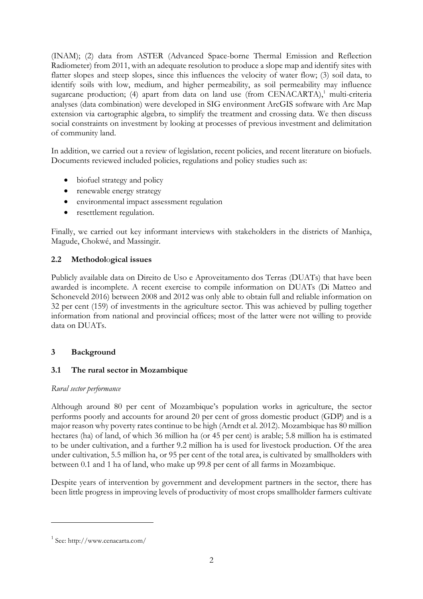(INAM); (2) data from ASTER (Advanced Space-borne Thermal Emission and Reflection Radiometer) from 2011, with an adequate resolution to produce a slope map and identify sites with flatter slopes and steep slopes, since this influences the velocity of water flow; (3) soil data, to identify soils with low, medium, and higher permeability, as soil permeability may influence sugarcane production; (4) apart from data on land use (from CENACARTA), $^1$  multi-criteria analyses (data combination) were developed in SIG environment ArcGIS software with Arc Map extension via cartographic algebra, to simplify the treatment and crossing data. We then discuss social constraints on investment by looking at processes of previous investment and delimitation of community land.

In addition, we carried out a review of legislation, recent policies, and recent literature on biofuels. Documents reviewed included policies, regulations and policy studies such as:

- biofuel strategy and policy
- renewable energy strategy
- environmental impact assessment regulation
- resettlement regulation.

Finally, we carried out key informant interviews with stakeholders in the districts of Manhiça, Magude, Chokwé, and Massingir.

# **2.2 Methodol**o**gical issues**

Publicly available data on Direito de Uso e Aproveitamento dos Terras (DUATs) that have been awarded is incomplete. A recent exercise to compile information on DUATs (Di Matteo and Schoneveld 2016) between 2008 and 2012 was only able to obtain full and reliable information on 32 per cent (159) of investments in the agriculture sector. This was achieved by pulling together information from national and provincial offices; most of the latter were not willing to provide data on DUATs.

# **3 Background**

# **3.1 The rural sector in Mozambique**

### *Rural sector performance*

Although around 80 per cent of Mozambique's population works in agriculture, the sector performs poorly and accounts for around 20 per cent of gross domestic product (GDP) and is a major reason why poverty rates continue to be high (Arndt et al. 2012). Mozambique has 80 million hectares (ha) of land, of which 36 million ha (or 45 per cent) is arable; 5.8 million ha is estimated to be under cultivation, and a further 9.2 million ha is used for livestock production. Of the area under cultivation, 5.5 million ha, or 95 per cent of the total area, is cultivated by smallholders with between 0.1 and 1 ha of land, who make up 99.8 per cent of all farms in Mozambique.

Despite years of intervention by government and development partners in the sector, there has been little progress in improving levels of productivity of most crops smallholder farmers cultivate

-

<sup>1</sup> See[: http://www.cenacarta.com/](http://www.cenacarta.com/)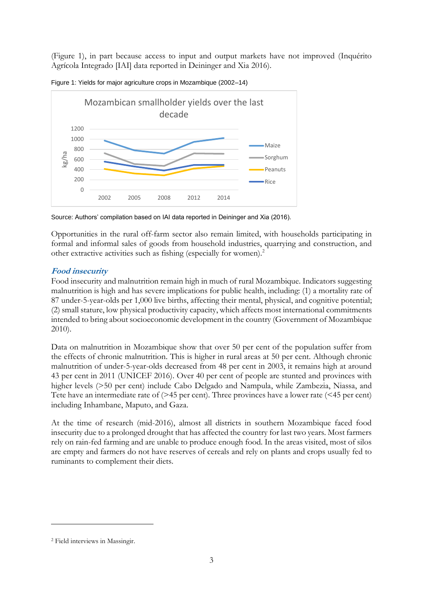(Figure 1), in part because access to input and output markets have not improved (Inquérito Agrícola Integrado [IAI] data reported in Deininger and Xia 2016).



Figure 1: Yields for major agriculture crops in Mozambique (2002–14)

Source: Authors' compilation based on IAI data reported in Deininger and Xia (2016).

Opportunities in the rural off-farm sector also remain limited, with households participating in formal and informal sales of goods from household industries, quarrying and construction, and other extractive activities such as fishing (especially for women).<sup>2</sup>

## **Food insecurity**

Food insecurity and malnutrition remain high in much of rural Mozambique. Indicators suggesting malnutrition is high and has severe implications for public health, including: (1) a mortality rate of 87 under-5-year-olds per 1,000 live births, affecting their mental, physical, and cognitive potential; (2) small stature, low physical productivity capacity, which affects most international commitments intended to bring about socioeconomic development in the country (Government of Mozambique 2010).

Data on malnutrition in Mozambique show that over 50 per cent of the population suffer from the effects of chronic malnutrition. This is higher in rural areas at 50 per cent. Although chronic malnutrition of under-5-year-olds decreased from 48 per cent in 2003, it remains high at around 43 per cent in 2011 (UNICEF 2016). Over 40 per cent of people are stunted and provinces with higher levels (>50 per cent) include Cabo Delgado and Nampula, while Zambezia, Niassa, and Tete have an intermediate rate of (>45 per cent). Three provinces have a lower rate (<45 per cent) including Inhambane, Maputo, and Gaza.

At the time of research (mid-2016), almost all districts in southern Mozambique faced food insecurity due to a prolonged drought that has affected the country for last two years. Most farmers rely on rain-fed farming and are unable to produce enough food. In the areas visited, most of silos are empty and farmers do not have reserves of cereals and rely on plants and crops usually fed to ruminants to complement their diets.

-

<sup>2</sup> Field interviews in Massingir.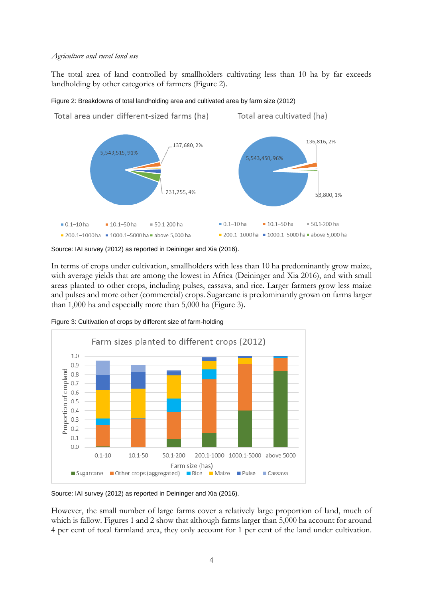#### *Agriculture and rural land use*

The total area of land controlled by smallholders cultivating less than 10 ha by far exceeds landholding by other categories of farmers (Figure 2).



#### Figure 2: Breakdowns of total landholding area and cultivated area by farm size (2012)

Source: IAI survey (2012) as reported in Deininger and Xia (2016).

In terms of crops under cultivation, smallholders with less than 10 ha predominantly grow maize, with average yields that are among the lowest in Africa (Deininger and Xia 2016), and with small areas planted to other crops, including pulses, cassava, and rice. Larger farmers grow less maize and pulses and more other (commercial) crops. Sugarcane is predominantly grown on farms larger than 1,000 ha and especially more than 5,000 ha (Figure 3).



Figure 3: Cultivation of crops by different size of farm-holding

Source: IAI survey (2012) as reported in Deininger and Xia (2016).

However, the small number of large farms cover a relatively large proportion of land, much of which is fallow. Figures 1 and 2 show that although farms larger than 5,000 ha account for around 4 per cent of total farmland area, they only account for 1 per cent of the land under cultivation.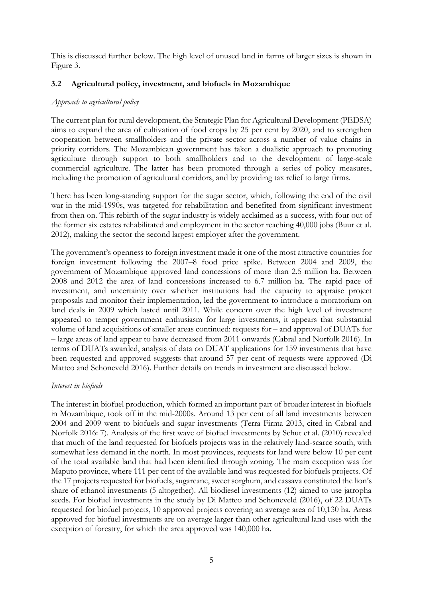This is discussed further below. The high level of unused land in farms of larger sizes is shown in Figure 3.

## **3.2 Agricultural policy, investment, and biofuels in Mozambique**

#### *Approach to agricultural policy*

The current plan for rural development, the Strategic Plan for Agricultural Development (PEDSA) aims to expand the area of cultivation of food crops by 25 per cent by 2020, and to strengthen cooperation between smallholders and the private sector across a number of value chains in priority corridors. The Mozambican government has taken a dualistic approach to promoting agriculture through support to both smallholders and to the development of large-scale commercial agriculture. The latter has been promoted through a series of policy measures, including the promotion of agricultural corridors, and by providing tax relief to large firms.

There has been long-standing support for the sugar sector, which, following the end of the civil war in the mid-1990s, was targeted for rehabilitation and benefited from significant investment from then on. This rebirth of the sugar industry is widely acclaimed as a success, with four out of the former six estates rehabilitated and employment in the sector reaching 40,000 jobs (Buur et al. 2012), making the sector the second largest employer after the government.

The government's openness to foreign investment made it one of the most attractive countries for foreign investment following the 2007–8 food price spike. Between 2004 and 2009, the government of Mozambique approved land concessions of more than 2.5 million ha. Between 2008 and 2012 the area of land concessions increased to 6.7 million ha. The rapid pace of investment, and uncertainty over whether institutions had the capacity to appraise project proposals and monitor their implementation, led the government to introduce a moratorium on land deals in 2009 which lasted until 2011. While concern over the high level of investment appeared to temper government enthusiasm for large investments, it appears that substantial volume of land acquisitions of smaller areas continued: requests for – and approval of DUATs for – large areas of land appear to have decreased from 2011 onwards (Cabral and Norfolk 2016). In terms of DUATs awarded, analysis of data on DUAT applications for 159 investments that have been requested and approved suggests that around 57 per cent of requests were approved (Di Matteo and Schoneveld 2016). Further details on trends in investment are discussed below.

### *Interest in biofuels*

The interest in biofuel production, which formed an important part of broader interest in biofuels in Mozambique, took off in the mid-2000s. Around 13 per cent of all land investments between 2004 and 2009 went to biofuels and sugar investments (Terra Firma 2013, cited in Cabral and Norfolk 2016: 7). Analysis of the first wave of biofuel investments by Schut et al. (2010) revealed that much of the land requested for biofuels projects was in the relatively land-scarce south, with somewhat less demand in the north. In most provinces, requests for land were below 10 per cent of the total available land that had been identified through zoning. The main exception was for Maputo province, where 111 per cent of the available land was requested for biofuels projects. Of the 17 projects requested for biofuels, sugarcane, sweet sorghum, and cassava constituted the lion's share of ethanol investments (5 altogether). All biodiesel investments (12) aimed to use jatropha seeds. For biofuel investments in the study by Di Matteo and Schoneveld (2016), of 22 DUATs requested for biofuel projects, 10 approved projects covering an average area of 10,130 ha. Areas approved for biofuel investments are on average larger than other agricultural land uses with the exception of forestry, for which the area approved was 140,000 ha.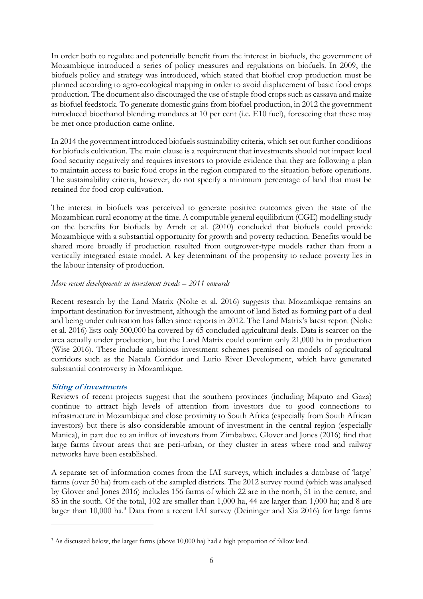In order both to regulate and potentially benefit from the interest in biofuels, the government of Mozambique introduced a series of policy measures and regulations on biofuels. In 2009, the biofuels policy and strategy was introduced, which stated that biofuel crop production must be planned according to agro-ecological mapping in order to avoid displacement of basic food crops production. The document also discouraged the use of staple food crops such as cassava and maize as biofuel feedstock. To generate domestic gains from biofuel production, in 2012 the government introduced bioethanol blending mandates at 10 per cent (i.e. E10 fuel), foreseeing that these may be met once production came online.

In 2014 the government introduced biofuels sustainability criteria, which set out further conditions for biofuels cultivation. The main clause is a requirement that investments should not impact local food security negatively and requires investors to provide evidence that they are following a plan to maintain access to basic food crops in the region compared to the situation before operations. The sustainability criteria, however, do not specify a minimum percentage of land that must be retained for food crop cultivation.

The interest in biofuels was perceived to generate positive outcomes given the state of the Mozambican rural economy at the time. A computable general equilibrium (CGE) modelling study on the benefits for biofuels by Arndt et al. (2010) concluded that biofuels could provide Mozambique with a substantial opportunity for growth and poverty reduction. Benefits would be shared more broadly if production resulted from outgrower-type models rather than from a vertically integrated estate model. A key determinant of the propensity to reduce poverty lies in the labour intensity of production.

#### *More recent developments in investment trends – 2011 onwards*

Recent research by the Land Matrix (Nolte et al. 2016) suggests that Mozambique remains an important destination for investment, although the amount of land listed as forming part of a deal and being under cultivation has fallen since reports in 2012. The Land Matrix's latest report (Nolte et al. 2016) lists only 500,000 ha covered by 65 concluded agricultural deals. Data is scarcer on the area actually under production, but the Land Matrix could confirm only 21,000 ha in production (Wise 2016). These include ambitious investment schemes premised on models of agricultural corridors such as the Nacala Corridor and Lurio River Development, which have generated substantial controversy in Mozambique.

### **Siting of investments**

-

Reviews of recent projects suggest that the southern provinces (including Maputo and Gaza) continue to attract high levels of attention from investors due to good connections to infrastructure in Mozambique and close proximity to South Africa (especially from South African investors) but there is also considerable amount of investment in the central region (especially Manica), in part due to an influx of investors from Zimbabwe. Glover and Jones (2016) find that large farms favour areas that are peri-urban, or they cluster in areas where road and railway networks have been established.

A separate set of information comes from the IAI surveys, which includes a database of 'large' farms (over 50 ha) from each of the sampled districts. The 2012 survey round (which was analysed by Glover and Jones 2016) includes 156 farms of which 22 are in the north, 51 in the centre, and 83 in the south. Of the total, 102 are smaller than 1,000 ha, 44 are larger than 1,000 ha; and 8 are larger than 10,000 ha.<sup>3</sup> Data from a recent IAI survey (Deininger and Xia 2016) for large farms

<sup>&</sup>lt;sup>3</sup> As discussed below, the larger farms (above 10,000 ha) had a high proportion of fallow land.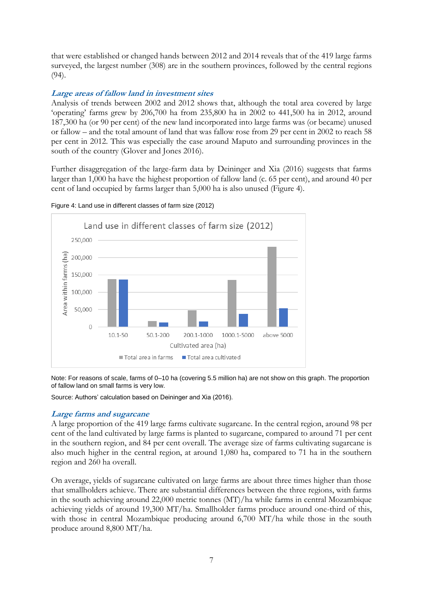that were established or changed hands between 2012 and 2014 reveals that of the 419 large farms surveyed, the largest number (308) are in the southern provinces, followed by the central regions (94).

## **Large areas of fallow land in investment sites**

Analysis of trends between 2002 and 2012 shows that, although the total area covered by large 'operating' farms grew by 206,700 ha from 235,800 ha in 2002 to 441,500 ha in 2012, around 187,300 ha (or 90 per cent) of the new land incorporated into large farms was (or became) unused or fallow – and the total amount of land that was fallow rose from 29 per cent in 2002 to reach 58 per cent in 2012. This was especially the case around Maputo and surrounding provinces in the south of the country (Glover and Jones 2016).

Further disaggregation of the large-farm data by Deininger and Xia (2016) suggests that farms larger than 1,000 ha have the highest proportion of fallow land (c. 65 per cent), and around 40 per cent of land occupied by farms larger than 5,000 ha is also unused (Figure 4).



Figure 4: Land use in different classes of farm size (2012)

Note: For reasons of scale, farms of 0–10 ha (covering 5.5 million ha) are not show on this graph. The proportion of fallow land on small farms is very low.

Source: Authors' calculation based on Deininger and Xia (2016).

### **Large farms and sugarcane**

A large proportion of the 419 large farms cultivate sugarcane. In the central region, around 98 per cent of the land cultivated by large farms is planted to sugarcane, compared to around 71 per cent in the southern region, and 84 per cent overall. The average size of farms cultivating sugarcane is also much higher in the central region, at around 1,080 ha, compared to 71 ha in the southern region and 260 ha overall.

On average, yields of sugarcane cultivated on large farms are about three times higher than those that smallholders achieve. There are substantial differences between the three regions, with farms in the south achieving around 22,000 metric tonnes (MT)/ha while farms in central Mozambique achieving yields of around 19,300 MT/ha. Smallholder farms produce around one-third of this, with those in central Mozambique producing around 6,700 MT/ha while those in the south produce around 8,800 MT/ha.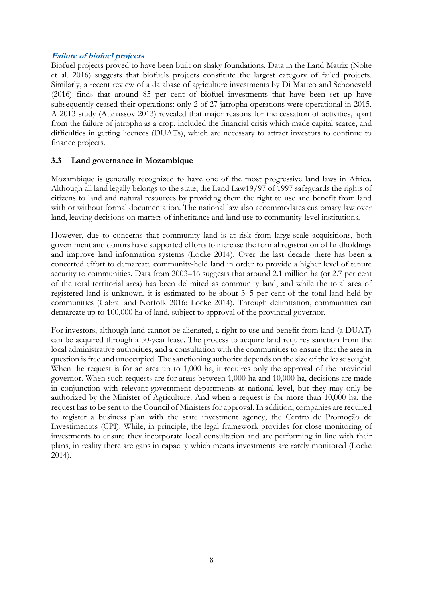## **Failure of biofuel projects**

Biofuel projects proved to have been built on shaky foundations. Data in the Land Matrix (Nolte et al. 2016) suggests that biofuels projects constitute the largest category of failed projects. Similarly, a recent review of a database of agriculture investments by Di Matteo and Schoneveld (2016) finds that around 85 per cent of biofuel investments that have been set up have subsequently ceased their operations: only 2 of 27 jatropha operations were operational in 2015. A 2013 study (Atanassov 2013) revealed that major reasons for the cessation of activities, apart from the failure of jatropha as a crop, included the financial crisis which made capital scarce, and difficulties in getting licences (DUATs), which are necessary to attract investors to continue to finance projects.

# **3.3 Land governance in Mozambique**

Mozambique is generally recognized to have one of the most progressive land laws in Africa. Although all land legally belongs to the state, the Land Law19/97 of 1997 safeguards the rights of citizens to land and natural resources by providing them the right to use and benefit from land with or without formal documentation. The national law also accommodates customary law over land, leaving decisions on matters of inheritance and land use to community-level institutions.

However, due to concerns that community land is at risk from large-scale acquisitions, both government and donors have supported efforts to increase the formal registration of landholdings and improve land information systems (Locke 2014). Over the last decade there has been a concerted effort to demarcate community-held land in order to provide a higher level of tenure security to communities. Data from 2003–16 suggests that around 2.1 million ha (or 2.7 per cent of the total territorial area) has been delimited as community land, and while the total area of registered land is unknown, it is estimated to be about 3–5 per cent of the total land held by communities (Cabral and Norfolk 2016; Locke 2014). Through delimitation, communities can demarcate up to 100,000 ha of land, subject to approval of the provincial governor.

For investors, although land cannot be alienated, a right to use and benefit from land (a DUAT) can be acquired through a 50-year lease. The process to acquire land requires sanction from the local administrative authorities, and a consultation with the communities to ensure that the area in question is free and unoccupied. The sanctioning authority depends on the size of the lease sought. When the request is for an area up to 1,000 ha, it requires only the approval of the provincial governor. When such requests are for areas between 1,000 ha and 10,000 ha, decisions are made in conjunction with relevant government departments at national level, but they may only be authorized by the Minister of Agriculture. And when a request is for more than 10,000 ha, the request has to be sent to the Council of Ministers for approval. In addition, companies are required to register a business plan with the state investment agency, the [Centro de Promoção de](https://www.google.co.uk/url?sa=t&rct=j&q=&esrc=s&source=web&cd=1&cad=rja&uact=8&ved=0ahUKEwjbovbbmtHRAhUhL8AKHYKyCIEQFggbMAA&url=https%3A%2F%2Fwww.cpi.co.mz%2F&usg=AFQjCNGQ-eCdRarBMpafX9qFXNC1jcWZjg&sig2=CX2Ott_LHmWZe_6yQ2WoeA&bvm=bv.144224172,d.bGs)  [Investimentos](https://www.google.co.uk/url?sa=t&rct=j&q=&esrc=s&source=web&cd=1&cad=rja&uact=8&ved=0ahUKEwjbovbbmtHRAhUhL8AKHYKyCIEQFggbMAA&url=https%3A%2F%2Fwww.cpi.co.mz%2F&usg=AFQjCNGQ-eCdRarBMpafX9qFXNC1jcWZjg&sig2=CX2Ott_LHmWZe_6yQ2WoeA&bvm=bv.144224172,d.bGs) (CPI). While, in principle, the legal framework provides for close monitoring of investments to ensure they incorporate local consultation and are performing in line with their plans, in reality there are gaps in capacity which means investments are rarely monitored (Locke 2014).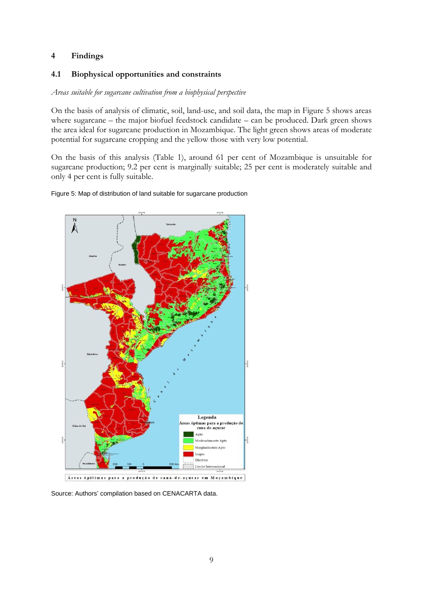## **4 Findings**

## **4.1 Biophysical opportunities and constraints**

#### *Areas suitable for sugarcane cultivation from a biophysical perspective*

On the basis of analysis of climatic, soil, land-use, and soil data, the map in Figure 5 shows areas where sugarcane – the major biofuel feedstock candidate – can be produced. Dark green shows the area ideal for sugarcane production in Mozambique. The light green shows areas of moderate potential for sugarcane cropping and the yellow those with very low potential.

On the basis of this analysis (Table 1), around 61 per cent of Mozambique is unsuitable for sugarcane production; 9.2 per cent is marginally suitable; 25 per cent is moderately suitable and only 4 per cent is fully suitable.





Source: Authors' compilation based on CENACARTA data.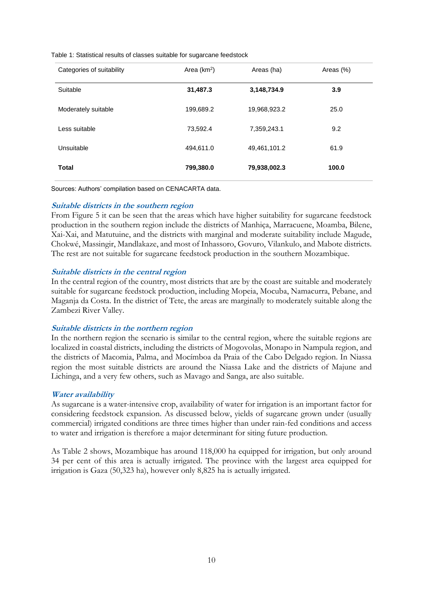|  |  |  |  | Table 1: Statistical results of classes suitable for sugarcane feedstock |  |
|--|--|--|--|--------------------------------------------------------------------------|--|

| Categories of suitability | Area $(km2)$ | Areas (ha)   | Areas (%) |
|---------------------------|--------------|--------------|-----------|
| Suitable                  | 31,487.3     | 3,148,734.9  | 3.9       |
| Moderately suitable       | 199,689.2    | 19,968,923.2 | 25.0      |
| Less suitable             | 73,592.4     | 7,359,243.1  | 9.2       |
| Unsuitable                | 494,611.0    | 49,461,101.2 | 61.9      |
| <b>Total</b>              | 799,380.0    | 79,938,002.3 | 100.0     |

Sources: Authors' compilation based on CENACARTA data.

#### **Suitable districts in the southern region**

From Figure 5 it can be seen that the areas which have higher suitability for sugarcane feedstock production in the southern region include the districts of Manhiça, Marracuene, Moamba, Bilene, Xai-Xai, and Matutuine, and the districts with marginal and moderate suitability include Magude, Chokwé, Massingir, Mandlakaze, and most of Inhassoro, Govuro, Vilankulo, and Mabote districts. The rest are not suitable for sugarcane feedstock production in the southern Mozambique.

#### **Suitable districts in the central region**

In the central region of the country, most districts that are by the coast are suitable and moderately suitable for sugarcane feedstock production, including Mopeia, Mocuba, Namacurra, Pebane, and Maganja da Costa. In the district of Tete, the areas are marginally to moderately suitable along the Zambezi River Valley.

#### **Suitable districts in the northern region**

In the northern region the scenario is similar to the central region, where the suitable regions are localized in coastal districts, including the districts of Mogovolas, Monapo in Nampula region, and the districts of Macomia, Palma, and Mocímboa da Praia of the Cabo Delgado region. In Niassa region the most suitable districts are around the Niassa Lake and the districts of Majune and Lichinga, and a very few others, such as Mavago and Sanga, are also suitable.

### **Water availability**

As sugarcane is a water-intensive crop, availability of water for irrigation is an important factor for considering feedstock expansion. As discussed below, yields of sugarcane grown under (usually commercial) irrigated conditions are three times higher than under rain-fed conditions and access to water and irrigation is therefore a major determinant for siting future production.

As Table 2 shows, Mozambique has around 118,000 ha equipped for irrigation, but only around 34 per cent of this area is actually irrigated. The province with the largest area equipped for irrigation is Gaza (50,323 ha), however only 8,825 ha is actually irrigated.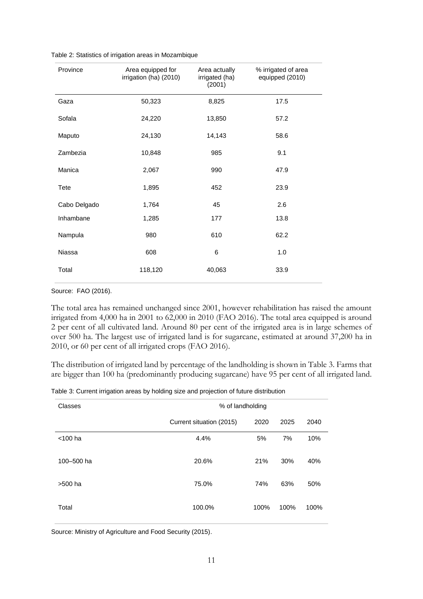|  | Table 2: Statistics of irrigation areas in Mozambique |  |  |
|--|-------------------------------------------------------|--|--|
|  |                                                       |  |  |

| Province     | Area equipped for<br>irrigation (ha) (2010) | Area actually<br>irrigated (ha)<br>(2001) | % irrigated of area<br>equipped (2010) |
|--------------|---------------------------------------------|-------------------------------------------|----------------------------------------|
| Gaza         | 50,323                                      | 8,825                                     | 17.5                                   |
| Sofala       | 24,220                                      | 13,850                                    | 57.2                                   |
| Maputo       | 24,130                                      | 14,143                                    | 58.6                                   |
| Zambezia     | 10,848                                      | 985                                       | 9.1                                    |
| Manica       | 2,067                                       | 990                                       | 47.9                                   |
| Tete         | 1,895                                       | 452                                       | 23.9                                   |
| Cabo Delgado | 1,764                                       | 45                                        | 2.6                                    |
| Inhambane    | 1,285                                       | 177                                       | 13.8                                   |
| Nampula      | 980                                         | 610                                       | 62.2                                   |
| Niassa       | 608                                         | 6                                         | 1.0                                    |
| Total        | 118,120                                     | 40,063                                    | 33.9                                   |

Source: FAO (2016).

The total area has remained unchanged since 2001, however rehabilitation has raised the amount irrigated from 4,000 ha in 2001 to 62,000 in 2010 (FAO 2016). The total area equipped is around 2 per cent of all cultivated land. Around 80 per cent of the irrigated area is in large schemes of over 500 ha. The largest use of irrigated land is for sugarcane, estimated at around 37,200 ha in 2010, or 60 per cent of all irrigated crops (FAO 2016).

The distribution of irrigated land by percentage of the landholding is shown in Table 3. Farms that are bigger than 100 ha (predominantly producing sugarcane) have 95 per cent of all irrigated land.

|  |  | Table 3: Current irrigation areas by holding size and projection of future distribution |
|--|--|-----------------------------------------------------------------------------------------|
|  |  |                                                                                         |

| Classes    | % of landholding         |      |      |      |  |
|------------|--------------------------|------|------|------|--|
|            | Current situation (2015) | 2020 | 2025 | 2040 |  |
| $<$ 100 ha | 4.4%                     | 5%   | 7%   | 10%  |  |
| 100-500 ha | 20.6%                    | 21%  | 30%  | 40%  |  |
| >500 ha    | 75.0%                    | 74%  | 63%  | 50%  |  |
| Total      | 100.0%                   | 100% | 100% | 100% |  |

Source: Ministry of Agriculture and Food Security (2015).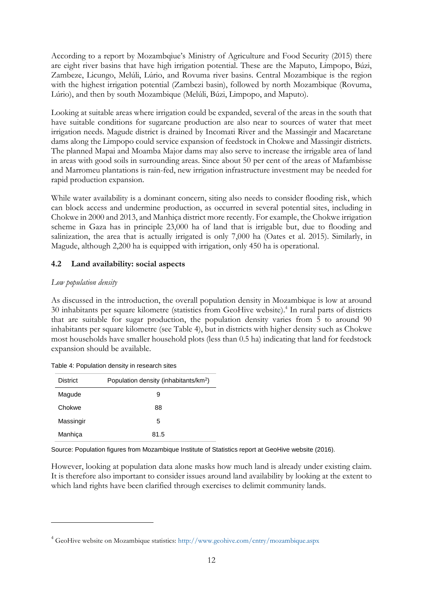According to a report by Mozambqiue's Ministry of Agriculture and Food Security (2015) there are eight river basins that have high irrigation potential. These are the Maputo, Limpopo, Búzi, Zambeze, Licungo, Melúli, Lúrio, and Rovuma river basins. Central Mozambique is the region with the highest irrigation potential (Zambezi basin), followed by north Mozambique (Rovuma, Lúrio), and then by south Mozambique (Melúli, Búzi, Limpopo, and Maputo).

Looking at suitable areas where irrigation could be expanded, several of the areas in the south that have suitable conditions for sugarcane production are also near to sources of water that meet irrigation needs. Magude district is drained by Incomati River and the Massingir and Macaretane dams along the Limpopo could service expansion of feedstock in Chokwe and Massingir districts. The planned Mapai and Moamba Major dams may also serve to increase the irrigable area of land in areas with good soils in surrounding areas. Since about 50 per cent of the areas of Mafambisse and Marromeu plantations is rain-fed, new irrigation infrastructure investment may be needed for rapid production expansion.

While water availability is a dominant concern, siting also needs to consider flooding risk, which can block access and undermine production, as occurred in several potential sites, including in Chokwe in 2000 and 2013, and Manhiça district more recently. For example, the Chokwe irrigation scheme in Gaza has in principle 23,000 ha of land that is irrigable but, due to flooding and salinization, the area that is actually irrigated is only 7,000 ha (Oates et al. 2015). Similarly, in Magude, although 2,200 ha is equipped with irrigation, only 450 ha is operational.

# **4.2 Land availability: social aspects**

## *Low population density*

-

As discussed in the introduction, the overall population density in Mozambique is low at around 30 inhabitants per square kilometre (statistics from GeoHive website).<sup>4</sup> In rural parts of districts that are suitable for sugar production, the population density varies from 5 to around 90 inhabitants per square kilometre (see Table 4), but in districts with higher density such as Chokwe most households have smaller household plots (less than 0.5 ha) indicating that land for feedstock expansion should be available.

| <b>District</b> | Population density (inhabitants/km <sup>2</sup> ) |
|-----------------|---------------------------------------------------|
| Magude          | 9                                                 |
| Chokwe          | 88                                                |
| Massingir       | 5                                                 |
| Manhica         | 81.5                                              |

Table 4: Population density in research sites

Source: Population figures from Mozambique Institute of Statistics report at GeoHive website (2016).

However, looking at population data alone masks how much land is already under existing claim. It is therefore also important to consider issues around land availability by looking at the extent to which land rights have been clarified through exercises to delimit community lands.

<sup>4</sup> GeoHive website on Mozambique statistics: <http://www.geohive.com/cntry/mozambique.aspx>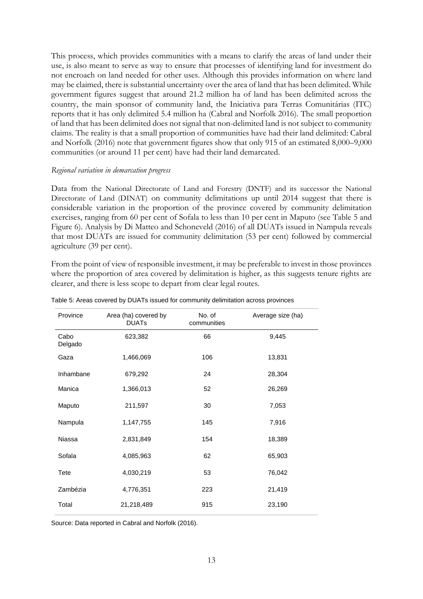This process, which provides communities with a means to clarify the areas of land under their use, is also meant to serve as way to ensure that processes of identifying land for investment do not encroach on land needed for other uses. Although this provides information on where land may be claimed, there is substantial uncertainty over the area of land that has been delimited. While government figures suggest that around 21.2 million ha of land has been delimited across the country, the main sponsor of community land, the Iniciativa para Terras Comunitárias (ITC) reports that it has only delimited 5.4 million ha (Cabral and Norfolk 2016). The small proportion of land that has been delimited does not signal that non-delimited land is not subject to community claims. The reality is that a small proportion of communities have had their land delimited: Cabral and Norfolk (2016) note that government figures show that only 915 of an estimated 8,000–9,000 communities (or around 11 per cent) have had their land demarcated.

#### *Regional variation in demarcation progress*

Data from the National Directorate of Land and Forestry (DNTF) and its successor the National Directorate of Land (DINAT) on community delimitations up until 2014 suggest that there is considerable variation in the proportion of the province covered by community delimitation exercises, ranging from 60 per cent of Sofala to less than 10 per cent in Maputo (see Table 5 and Figure 6). Analysis by Di Matteo and Schoneveld (2016) of all DUATs issued in Nampula reveals that most DUATs are issued for community delimitation (53 per cent) followed by commercial agriculture (39 per cent).

From the point of view of responsible investment, it may be preferable to invest in those provinces where the proportion of area covered by delimitation is higher, as this suggests tenure rights are clearer, and there is less scope to depart from clear legal routes.

| Area (ha) covered by<br><b>DUATS</b> | No. of      | Average size (ha) |
|--------------------------------------|-------------|-------------------|
|                                      | communities |                   |
| 623,382                              | 66          | 9,445             |
| 1,466,069                            | 106         | 13,831            |
| 679,292                              | 24          | 28,304            |
| 1,366,013                            | 52          | 26,269            |
| 211,597                              | 30          | 7,053             |
| 1,147,755                            | 145         | 7,916             |
| 2,831,849                            | 154         | 18,389            |
| 4,085,963                            | 62          | 65,903            |
| 4,030,219                            | 53          | 76,042            |
| 4,776,351                            | 223         | 21,419            |
| 21,218,489                           | 915         | 23,190            |
|                                      |             |                   |

Table 5: Areas covered by DUATs issued for community delimitation across provinces

Source: Data reported in Cabral and Norfolk (2016).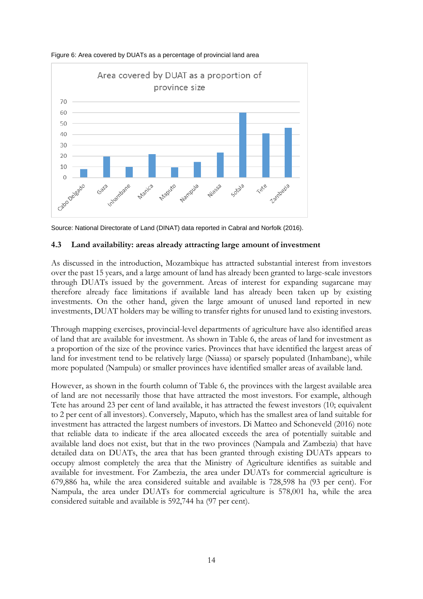

Figure 6: Area covered by DUATs as a percentage of provincial land area

Source: National Directorate of Land (DINAT) data reported in Cabral and Norfolk (2016).

### **4.3 Land availability: areas already attracting large amount of investment**

As discussed in the introduction, Mozambique has attracted substantial interest from investors over the past 15 years, and a large amount of land has already been granted to large-scale investors through DUATs issued by the government. Areas of interest for expanding sugarcane may therefore already face limitations if available land has already been taken up by existing investments. On the other hand, given the large amount of unused land reported in new investments, DUAT holders may be willing to transfer rights for unused land to existing investors.

Through mapping exercises, provincial-level departments of agriculture have also identified areas of land that are available for investment. As shown in Table 6, the areas of land for investment as a proportion of the size of the province varies. Provinces that have identified the largest areas of land for investment tend to be relatively large (Niassa) or sparsely populated (Inhambane), while more populated (Nampula) or smaller provinces have identified smaller areas of available land.

However, as shown in the fourth column of Table 6, the provinces with the largest available area of land are not necessarily those that have attracted the most investors. For example, although Tete has around 23 per cent of land available, it has attracted the fewest investors (10; equivalent to 2 per cent of all investors). Conversely, Maputo, which has the smallest area of land suitable for investment has attracted the largest numbers of investors. Di Matteo and Schoneveld (2016) note that reliable data to indicate if the area allocated exceeds the area of potentially suitable and available land does not exist, but that in the two provinces (Nampala and Zambezia) that have detailed data on DUATs, the area that has been granted through existing DUATs appears to occupy almost completely the area that the Ministry of Agriculture identifies as suitable and available for investment. For Zambezia, the area under DUATs for commercial agriculture is 679,886 ha, while the area considered suitable and available is 728,598 ha (93 per cent). For Nampula, the area under DUATs for commercial agriculture is 578,001 ha, while the area considered suitable and available is 592,744 ha (97 per cent).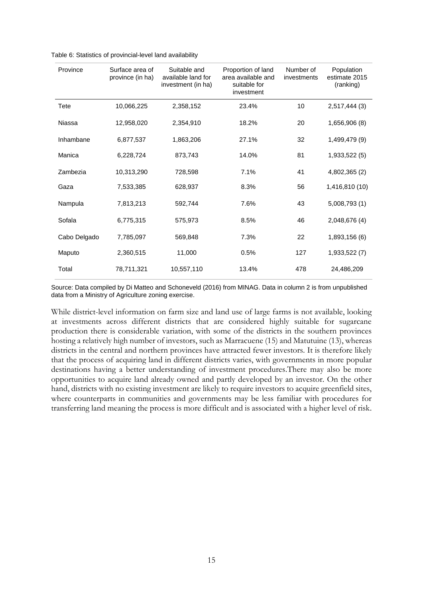| Province     | Surface area of<br>province (in ha) | Suitable and<br>available land for<br>investment (in ha) | Proportion of land<br>area available and<br>suitable for<br>investment | Number of<br>investments | Population<br>estimate 2015<br>(ranking) |
|--------------|-------------------------------------|----------------------------------------------------------|------------------------------------------------------------------------|--------------------------|------------------------------------------|
| Tete         | 10,066,225                          | 2,358,152                                                | 23.4%                                                                  | 10                       | 2,517,444 (3)                            |
| Niassa       | 12,958,020                          | 2,354,910                                                | 18.2%                                                                  | 20                       | 1,656,906 (8)                            |
| Inhambane    | 6,877,537                           | 1,863,206                                                | 27.1%                                                                  | 32                       | 1,499,479 (9)                            |
| Manica       | 6,228,724                           | 873,743                                                  | 14.0%                                                                  | 81                       | 1,933,522 (5)                            |
| Zambezia     | 10,313,290                          | 728,598                                                  | 7.1%                                                                   | 41                       | 4,802,365 (2)                            |
| Gaza         | 7,533,385                           | 628,937                                                  | 8.3%                                                                   | 56                       | 1,416,810 (10)                           |
| Nampula      | 7,813,213                           | 592,744                                                  | 7.6%                                                                   | 43                       | 5,008,793 (1)                            |
| Sofala       | 6,775,315                           | 575,973                                                  | 8.5%                                                                   | 46                       | 2,048,676 (4)                            |
| Cabo Delgado | 7,785,097                           | 569,848                                                  | 7.3%                                                                   | 22                       | 1,893,156 (6)                            |
| Maputo       | 2,360,515                           | 11,000                                                   | 0.5%                                                                   | 127                      | 1,933,522 (7)                            |
| Total        | 78,711,321                          | 10.557.110                                               | 13.4%                                                                  | 478                      | 24,486,209                               |

| Table 6: Statistics of provincial-level land availability |
|-----------------------------------------------------------|
|-----------------------------------------------------------|

Source: Data compiled by Di Matteo and Schoneveld (2016) from MINAG. Data in column 2 is from unpublished data from a Ministry of Agriculture zoning exercise.

While district-level information on farm size and land use of large farms is not available, looking at investments across different districts that are considered highly suitable for sugarcane production there is considerable variation, with some of the districts in the southern provinces hosting a relatively high number of investors, such as Marracuene (15) and Matutuine (13), whereas districts in the central and northern provinces have attracted fewer investors. It is therefore likely that the process of acquiring land in different districts varies, with governments in more popular destinations having a better understanding of investment procedures.There may also be more opportunities to acquire land already owned and partly developed by an investor. On the other hand, districts with no existing investment are likely to require investors to acquire greenfield sites, where counterparts in communities and governments may be less familiar with procedures for transferring land meaning the process is more difficult and is associated with a higher level of risk.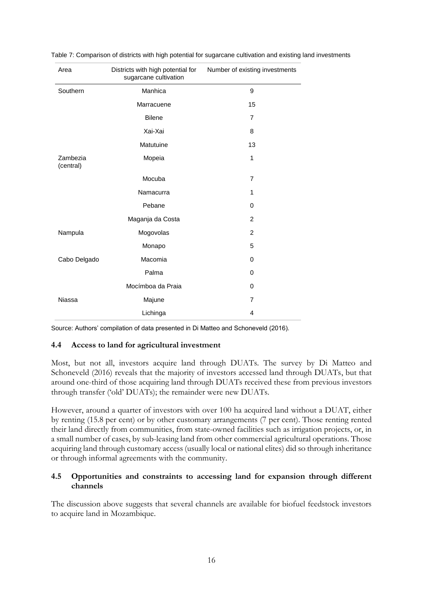| Area                  | Districts with high potential for<br>sugarcane cultivation | Number of existing investments |
|-----------------------|------------------------------------------------------------|--------------------------------|
| Southern              | Manhica                                                    | 9                              |
|                       | Marracuene                                                 | 15                             |
|                       | <b>Bilene</b>                                              | $\overline{7}$                 |
|                       | Xai-Xai                                                    | 8                              |
|                       | Matutuine                                                  | 13                             |
| Zambezia<br>(central) | Mopeia                                                     | 1                              |
|                       | Mocuba                                                     | $\overline{7}$                 |
|                       | Namacurra                                                  | 1                              |
|                       | Pebane                                                     | $\Omega$                       |
|                       | Maganja da Costa                                           | 2                              |
| Nampula               | Mogovolas                                                  | 2                              |
|                       | Monapo                                                     | 5                              |
| Cabo Delgado          | Macomia                                                    | 0                              |
|                       | Palma                                                      | $\Omega$                       |
|                       | Mocímboa da Praia                                          | $\Omega$                       |
| <b>Niassa</b>         | Majune                                                     | $\overline{7}$                 |
|                       | Lichinga                                                   | $\overline{4}$                 |

Table 7: Comparison of districts with high potential for sugarcane cultivation and existing land investments

Source: Authors' compilation of data presented in Di Matteo and Schoneveld (2016).

### **4.4 Access to land for agricultural investment**

Most, but not all, investors acquire land through DUATs. The survey by Di Matteo and Schoneveld (2016) reveals that the majority of investors accessed land through DUATs, but that around one-third of those acquiring land through DUATs received these from previous investors through transfer ('old' DUATs); the remainder were new DUATs.

However, around a quarter of investors with over 100 ha acquired land without a DUAT, either by renting (15.8 per cent) or by other customary arrangements (7 per cent). Those renting rented their land directly from communities, from state-owned facilities such as irrigation projects, or, in a small number of cases, by sub-leasing land from other commercial agricultural operations. Those acquiring land through customary access (usually local or national elites) did so through inheritance or through informal agreements with the community.

## **4.5 Opportunities and constraints to accessing land for expansion through different channels**

The discussion above suggests that several channels are available for biofuel feedstock investors to acquire land in Mozambique.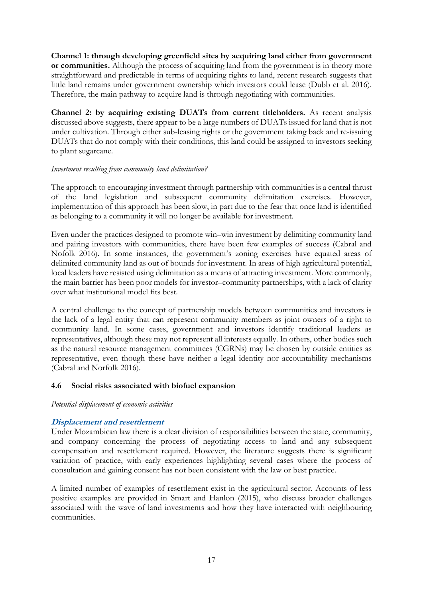**Channel 1: through developing greenfield sites by acquiring land either from government or communities.** Although the process of acquiring land from the government is in theory more straightforward and predictable in terms of acquiring rights to land, recent research suggests that little land remains under government ownership which investors could lease (Dubb et al. 2016). Therefore, the main pathway to acquire land is through negotiating with communities.

**Channel 2: by acquiring existing DUATs from current titleholders.** As recent analysis discussed above suggests, there appear to be a large numbers of DUATs issued for land that is not under cultivation. Through either sub-leasing rights or the government taking back and re-issuing DUATs that do not comply with their conditions, this land could be assigned to investors seeking to plant sugarcane.

### *Investment resulting from community land delimitation?*

The approach to encouraging investment through partnership with communities is a central thrust of the land legislation and subsequent community delimitation exercises. However, implementation of this approach has been slow, in part due to the fear that once land is identified as belonging to a community it will no longer be available for investment.

Even under the practices designed to promote win–win investment by delimiting community land and pairing investors with communities, there have been few examples of success (Cabral and Nofolk 2016). In some instances, the government's zoning exercises have equated areas of delimited community land as out of bounds for investment. In areas of high agricultural potential, local leaders have resisted using delimitation as a means of attracting investment. More commonly, the main barrier has been poor models for investor–community partnerships, with a lack of clarity over what institutional model fits best.

A central challenge to the concept of partnership models between communities and investors is the lack of a legal entity that can represent community members as joint owners of a right to community land. In some cases, government and investors identify traditional leaders as representatives, although these may not represent all interests equally. In others, other bodies such as the natural resource management committees (CGRNs) may be chosen by outside entities as representative, even though these have neither a legal identity nor accountability mechanisms (Cabral and Norfolk 2016).

### **4.6 Social risks associated with biofuel expansion**

*Potential displacement of economic activities* 

### **Displacement and resettlement**

Under Mozambican law there is a clear division of responsibilities between the state, community, and company concerning the process of negotiating access to land and any subsequent compensation and resettlement required. However, the literature suggests there is significant variation of practice, with early experiences highlighting several cases where the process of consultation and gaining consent has not been consistent with the law or best practice.

A limited number of examples of resettlement exist in the agricultural sector. Accounts of less positive examples are provided in Smart and Hanlon (2015), who discuss broader challenges associated with the wave of land investments and how they have interacted with neighbouring communities.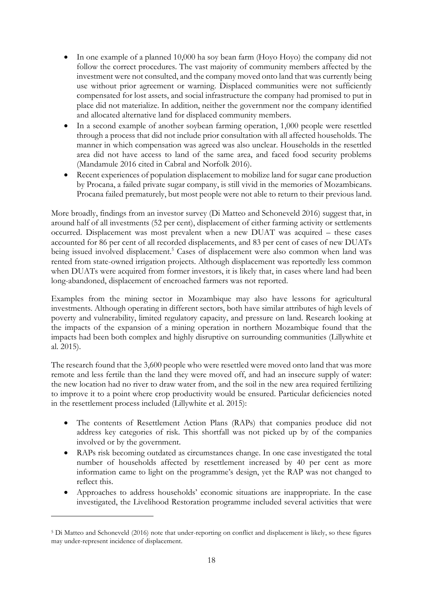- In one example of a planned 10,000 ha soy bean farm (Hoyo Hoyo) the company did not follow the correct procedures. The vast majority of community members affected by the investment were not consulted, and the company moved onto land that was currently being use without prior agreement or warning. Displaced communities were not sufficiently compensated for lost assets, and social infrastructure the company had promised to put in place did not materialize. In addition, neither the government nor the company identified and allocated alternative land for displaced community members.
- In a second example of another soybean farming operation, 1,000 people were resettled through a process that did not include prior consultation with all affected households. The manner in which compensation was agreed was also unclear. Households in the resettled area did not have access to land of the same area, and faced food security problems (Mandamule 2016 cited in Cabral and Norfolk 2016).
- Recent experiences of population displacement to mobilize land for sugar cane production by Procana, a failed private sugar company, is still vivid in the memories of Mozambicans. Procana failed prematurely, but most people were not able to return to their previous land.

More broadly, findings from an investor survey (Di Matteo and Schoneveld 2016) suggest that, in around half of all investments (52 per cent), displacement of either farming activity or settlements occurred. Displacement was most prevalent when a new DUAT was acquired – these cases accounted for 86 per cent of all recorded displacements, and 83 per cent of cases of new DUATs being issued involved displacement.<sup>5</sup> Cases of displacement were also common when land was rented from state-owned irrigation projects. Although displacement was reportedly less common when DUATs were acquired from former investors, it is likely that, in cases where land had been long-abandoned, displacement of encroached farmers was not reported.

Examples from the mining sector in Mozambique may also have lessons for agricultural investments. Although operating in different sectors, both have similar attributes of high levels of poverty and vulnerability, limited regulatory capacity, and pressure on land. Research looking at the impacts of the expansion of a mining operation in northern Mozambique found that the impacts had been both complex and highly disruptive on surrounding communities (Lillywhite et al. 2015).

The research found that the 3,600 people who were resettled were moved onto land that was more remote and less fertile than the land they were moved off, and had an insecure supply of water: the new location had no river to draw water from, and the soil in the new area required fertilizing to improve it to a point where crop productivity would be ensured. Particular deficiencies noted in the resettlement process included (Lillywhite et al. 2015):

- The contents of Resettlement Action Plans (RAPs) that companies produce did not address key categories of risk. This shortfall was not picked up by of the companies involved or by the government.
- RAPs risk becoming outdated as circumstances change. In one case investigated the total number of households affected by resettlement increased by 40 per cent as more information came to light on the programme's design, yet the RAP was not changed to reflect this.
- Approaches to address households' economic situations are inappropriate. In the case investigated, the Livelihood Restoration programme included several activities that were

-

<sup>5</sup> Di Matteo and Schoneveld (2016) note that under-reporting on conflict and displacement is likely, so these figures may under-represent incidence of displacement.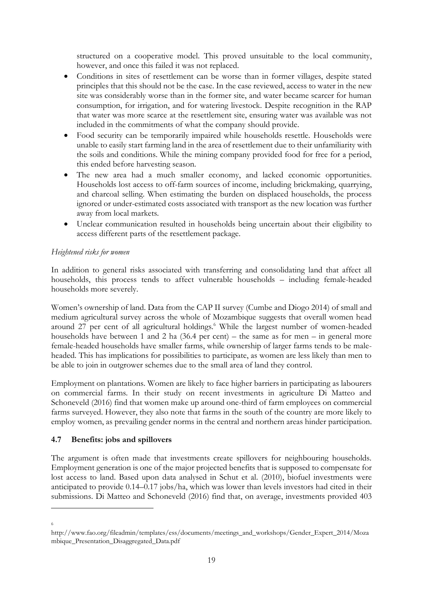structured on a cooperative model. This proved unsuitable to the local community, however, and once this failed it was not replaced.

- Conditions in sites of resettlement can be worse than in former villages, despite stated principles that this should not be the case. In the case reviewed, access to water in the new site was considerably worse than in the former site, and water became scarcer for human consumption, for irrigation, and for watering livestock. Despite recognition in the RAP that water was more scarce at the resettlement site, ensuring water was available was not included in the commitments of what the company should provide.
- Food security can be temporarily impaired while households resettle. Households were unable to easily start farming land in the area of resettlement due to their unfamiliarity with the soils and conditions. While the mining company provided food for free for a period, this ended before harvesting season.
- The new area had a much smaller economy, and lacked economic opportunities. Households lost access to off-farm sources of income, including brickmaking, quarrying, and charcoal selling. When estimating the burden on displaced households, the process ignored or under-estimated costs associated with transport as the new location was further away from local markets.
- Unclear communication resulted in households being uncertain about their eligibility to access different parts of the resettlement package.

## *Heightened risks for women*

In addition to general risks associated with transferring and consolidating land that affect all households, this process tends to affect vulnerable households – including female-headed households more severely.

Women's ownership of land. Data from the CAP II survey (Cumbe and Diogo 2014) of small and medium agricultural survey across the whole of Mozambique suggests that overall women head around 27 per cent of all agricultural holdings.<sup>6</sup> While the largest number of women-headed households have between 1 and 2 ha (36.4 per cent) – the same as for men – in general more female-headed households have smaller farms, while ownership of larger farms tends to be maleheaded. This has implications for possibilities to participate, as women are less likely than men to be able to join in outgrower schemes due to the small area of land they control.

Employment on plantations. Women are likely to face higher barriers in participating as labourers on commercial farms. In their study on recent investments in agriculture Di Matteo and Schoneveld (2016) find that women make up around one-third of farm employees on commercial farms surveyed. However, they also note that farms in the south of the country are more likely to employ women, as prevailing gender norms in the central and northern areas hinder participation.

# **4.7 Benefits: jobs and spillovers**

The argument is often made that investments create spillovers for neighbouring households. Employment generation is one of the major projected benefits that is supposed to compensate for lost access to land. Based upon data analysed in Schut et al. (2010), biofuel investments were anticipated to provide 0.14–0.17 jobs/ha, which was lower than levels investors had cited in their submissions. Di Matteo and Schoneveld (2016) find that, on average, investments provided 403

6

-

http://www.fao.org/fileadmin/templates/ess/documents/meetings\_and\_workshops/Gender\_Expert\_2014/Moza mbique\_Presentation\_Disaggregated\_Data.pdf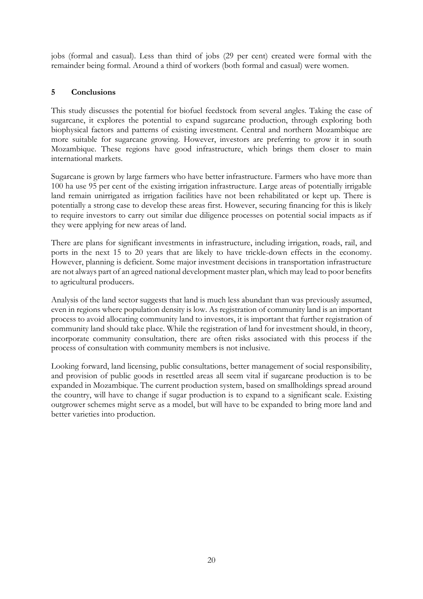jobs (formal and casual). Less than third of jobs (29 per cent) created were formal with the remainder being formal. Around a third of workers (both formal and casual) were women.

# **5 Conclusions**

This study discusses the potential for biofuel feedstock from several angles. Taking the case of sugarcane, it explores the potential to expand sugarcane production, through exploring both biophysical factors and patterns of existing investment. Central and northern Mozambique are more suitable for sugarcane growing. However, investors are preferring to grow it in south Mozambique. These regions have good infrastructure, which brings them closer to main international markets.

Sugarcane is grown by large farmers who have better infrastructure. Farmers who have more than 100 ha use 95 per cent of the existing irrigation infrastructure. Large areas of potentially irrigable land remain unirrigated as irrigation facilities have not been rehabilitated or kept up. There is potentially a strong case to develop these areas first. However, securing financing for this is likely to require investors to carry out similar due diligence processes on potential social impacts as if they were applying for new areas of land.

There are plans for significant investments in infrastructure, including irrigation, roads, rail, and ports in the next 15 to 20 years that are likely to have trickle-down effects in the economy. However, planning is deficient. Some major investment decisions in transportation infrastructure are not always part of an agreed national development master plan, which may lead to poor benefits to agricultural producers.

Analysis of the land sector suggests that land is much less abundant than was previously assumed, even in regions where population density is low. As registration of community land is an important process to avoid allocating community land to investors, it is important that further registration of community land should take place. While the registration of land for investment should, in theory, incorporate community consultation, there are often risks associated with this process if the process of consultation with community members is not inclusive.

Looking forward, land licensing, public consultations, better management of social responsibility, and provision of public goods in resettled areas all seem vital if sugarcane production is to be expanded in Mozambique. The current production system, based on smallholdings spread around the country, will have to change if sugar production is to expand to a significant scale. Existing outgrower schemes might serve as a model, but will have to be expanded to bring more land and better varieties into production.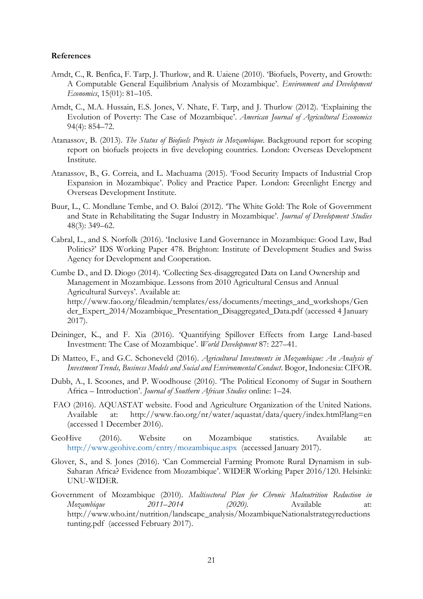#### **References**

- Arndt, C., R. Benfica, F. Tarp, J. Thurlow, and R. Uaiene (2010). 'Biofuels, Poverty, and Growth: A Computable General Equilibrium Analysis of Mozambique'. *Environment and Development Economics*, 15(01): 81–105.
- Arndt, C., M.A. Hussain, E.S. Jones, V. Nhate, F. Tarp, and J. Thurlow (2012). 'Explaining the Evolution of Poverty: The Case of Mozambique'. *American Journal of Agricultural Economics* 94(4): 854–72.
- Atanassov, B. (2013). *The Status of Biofuels Projects in Mozambique*. Background report for scoping report on biofuels projects in five developing countries. London: Overseas Development Institute.
- Atanassov, B., G. Correia, and L. Machuama (2015). 'Food Security Impacts of Industrial Crop Expansion in Mozambique'. Policy and Practice Paper. London: Greenlight Energy and Overseas Development Institute.
- Buur, L., C. Mondlane Tembe, and O. Baloi (2012). 'The White Gold: The Role of Government and State in Rehabilitating the Sugar Industry in Mozambique'. *Journal of Development Studies* 48(3): 349–62.
- Cabral, L., and S. Norfolk (2016). 'Inclusive Land Governance in Mozambique: Good Law, Bad Politics?' IDS Working Paper 478. Brighton: Institute of Development Studies and Swiss Agency for Development and Cooperation.

Cumbe D., and D. Diogo (2014). 'Collecting Sex-disaggregated Data on Land Ownership and Management in Mozambique. Lessons from 2010 Agricultural Census and Annual Agricultural Surveys'. Available at: [http://www.fao.org/fileadmin/templates/ess/documents/meetings\\_and\\_workshops/Gen](http://www.fao.org/fileadmin/templates/ess/documents/meetings_and_workshops/Gender_Expert_2014/Mozambique_Presentation_Disaggregated_Data.pdf) [der\\_Expert\\_2014/Mozambique\\_Presentation\\_Disaggregated\\_Data.pdf](http://www.fao.org/fileadmin/templates/ess/documents/meetings_and_workshops/Gender_Expert_2014/Mozambique_Presentation_Disaggregated_Data.pdf) (accessed 4 January 2017).

- Deininger, K., and F. Xia (2016). 'Quantifying Spillover Effects from Large Land-based Investment: The Case of Mozambique'. *World Development* 87: 227–41.
- Di Matteo, F., and G.C. Schoneveld (2016). *Agricultural Investments in Mozambique: An Analysis of Investment Trends, Business Models and Social and Environmental Conduct*. Bogor, Indonesia: CIFOR.
- Dubb, A., I. Scoones, and P. Woodhouse (2016). 'The Political Economy of Sugar in Southern Africa – Introduction'. *Journal of Southern African Studies* online: 1–24.
- FAO (2016). AQUASTAT website. Food and Agriculture Organization of the United Nations. Available at: http://www.fao.org/nr/water/aquastat/data/query/index.html?lang=en (accessed 1 December 2016).
- GeoHive (2016). Website on Mozambique statistics. Available at: <http://www.geohive.com/cntry/mozambique.aspx>(accessed January 2017).
- Glover, S., and S. Jones (2016). 'Can Commercial Farming Promote Rural Dynamism in sub-Saharan Africa? Evidence from Mozambique'. WIDER Working Paper 2016/120. Helsinki: UNU-WIDER.
- Government of Mozambique (2010). *Multisectoral Plan for Chronic Malnutrition Reduction in Mozambique 2011–2014 (2020)*. Available at: [http://www.who.int/nutrition/landscape\\_analysis/MozambiqueNationalstrategyreductions](http://www.who.int/nutrition/landscape_analysis/MozambiqueNationalstrategyreductionstunting.pdf) [tunting.pdf](http://www.who.int/nutrition/landscape_analysis/MozambiqueNationalstrategyreductionstunting.pdf) (accessed February 2017).